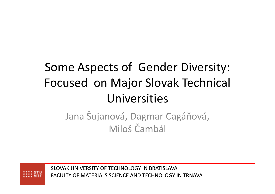## Some Aspects of Gender Diversity: Focused on Major Slovak Technical Universities

Jana Šujanová, Dagmar Cagáňová, Miloš Čambál

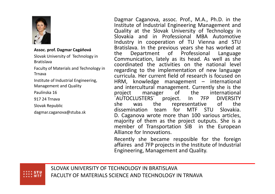

**Assoc. prof. Dagmar Cagáňová**

Slovak University of Technology in Bratislava

Faculty of Materials and Technology in Trnava

Institute of Industrial Engineering, Management and Quality

Paulínska 16

917 24 Trnava

Slovak Republic

dagmar.caganova@stuba.sk

Dagmar Caganova, assoc. Prof., M.A., Ph.D. in the Institute of Industrial Engineering Management and Quality at the Slovak University of Technology in Slovakia and in Professional MBA Automotive Industry in cooperation of TU Vienna and STU Bratislava. In the previous years she has worked at the Department of Professional Language Communication, lately as its head. As well as she coordinated the activities on the national level regarding to the implementation of new language curricula. Her current field of research is focused on HRM, knowledge management – international and intercultural management. Currently she is the project in manager of the international project manager of the international ´AUTOCLUSTERS´ project. Inshe was the representative of the<br>discontination team for MTE STIL Slaughia 7FPDIVERSITY<br>of the dissemination team for MTF STU Slovakia. D. Caganova wrote more than <sup>100</sup> various articles, majority of them as the project outputs. She is <sup>a</sup> member of Transportation SIB in the EuropeanAlliance for Innovations.

Recently she became resposible for the foreignaffaires and 7FP projects in the Institute of Industrial<br>Fasiacerian Marcenes at and Quality Engineering, Management and Quality.

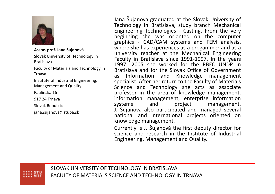

**Assoc. prof. Jana Šujanová**

Slovak University of Technology in Bratislava

Faculty of Materials and Technology in Trnava

Institute of Industrial Engineering, Management and Quality

Paulínska 16

917 24 Trnava

Slovak Republic

jana.sujanova@stuba.sk

Jana Šujanova graduated at the Slovak University of Technology in Bratislava, study branch Mechanical Engineering Technologies - Casting. From the very beginning she was oriented on the computer graphics - CAD/CAM systems and FEM analysis, where she has experiences as <sup>a</sup> progammer and as <sup>a</sup> university teacher at the Mechanical Engineering Faculty in Bratislava since 1991-1997. In the years <sup>1997</sup> -2005 she worked for the RBEC UNDP in Bratislava and for the Slovak Office of Government as Information and Knowledge management specialist. After her return to the Faculty of Materials Science and Technology she acts as associate professor in the area of knowledge management, information management, enterprise information systems and project management. J. Šujanova also participated and managed several national and international projects oriented onknowledge management.

Currently is J. Šujanová the first deputy director for science and research in the Institute of Industrial Engineering, Management and Quality.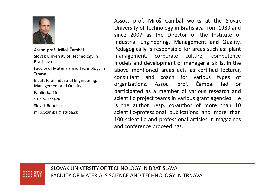

**Assoc. prof. Miloš Čambál**

Slovak University of Technology in Bratislava

Faculty of Materials and Technology in Trnava

Institute of Industrial Engineering, Management and Quality

Paulínska 16

917 24 Trnava

Slovak Republic

milos.cambal@stuba.sk

Assoc. prof. Miloš Čambál works at the Slovak University of Technology in Bratislava from <sup>1989</sup> and since <sup>2007</sup> as the Director of the Institute of Industrial Engineering, Management and Quality. Pedagogically is responsible for areas such as: plant management, corporate culture, competence models and development of managerial skills. In the above mentioned areas acts as certified lecturer, consultant and coach for various types of organizations. Assoc. prof. Čambál led or participated as <sup>a</sup> member of various research and scientific project teams in various grant agencies. He is the author, resp. co-author of more than <sup>10</sup> scientific-professional publications and more than <sup>100</sup> scientific and professional articles in magazines and conference proceedings.

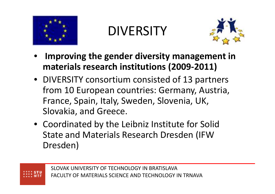

**DIVERSITY** 



- • **Improving the gender diversity management in materials research institutions (2009-2011)**
- DIVERSITY consortium consisted of 13 partners from 10 European countries: Germany, Austria, France, Spain, Italy, Sweden, Slovenia, UK, Slovakia, and Greece.
- Coordinated by the Leibniz Institute for Solid State and Materials Research Dresden (IFW Dresden)

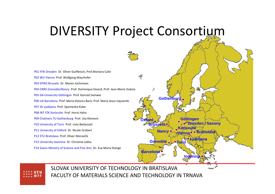### DIVERSITY Project Consortium

P01 IFW Dresden Dr. Oliver Gutfleisch, Prof.Mariana Calin P02 WU Vienna Prof. Wolfgang Mayrhofer P03 EPWS Brussels Dr. Maren JochimsenP04 CNRS Grenoble/Nancy Prof. Dominique Givord, Prof. Jean-Marie Dubois P05 GA University Göttingen Prof. Konrad Samwer P06 UA Barcelona Prof. María Dolores Baró, Prof. Maria Jesus IzquierdoP07 JSI Ljubljana Prof. Spomenka Kobe P08 INT FZK Karlsruhe Prof. Horst HahnP09 Chalmers TU Gothenburg Prof. Uta Klement P10 University of Turin Prof. Livio Battezzati P11 University of Oxford Dr. Nicole Grobert P12 STU Bratislava Prof. Oliver Moravčik P13 University Ioannina Dr. Christina Lekka P14 Saxon Ministry of Science and Fine Arts Dr. Eva-Maria Stange

**GothenburgDresden / Saxony Vienna**<mark>a</mark>o∙o Bratislava **GöttingenIoanninaOxfordBrusselsBarcelonaGrenoble Turin Ljubljana KarlsruheNancy**

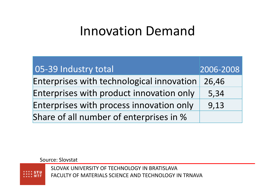# Innovation Demand

| 05-39 Industry total                      | 2006-2008 |
|-------------------------------------------|-----------|
| Enterprises with technological innovation | 26,46     |
| Enterprises with product innovation only  | 5,34      |
| Enterprises with process innovation only  | 9,13      |
| Share of all number of enterprises in %   |           |

Source: Slovstat

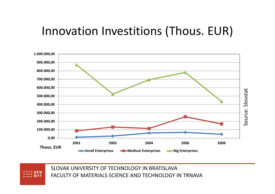## Innovation Investitions (Thous. EUR)



SLOVAK UNIVERSITY OF TECHNOLOGY IN BRATISLAVAFACULTY OF MATERIALS SCIENCE AND TECHNOLOGY IN TRNAVA Source: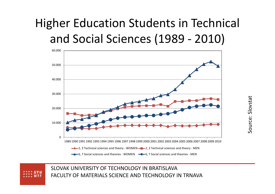## Higher Education Students in Technical and Social Sciences (1989 - 2010)



Source:

Slovstat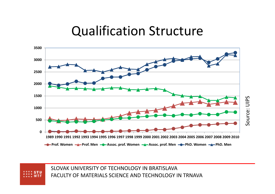#### Qualification Structure

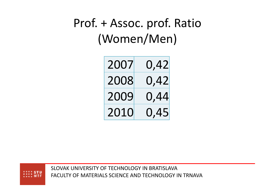## Prof. + Assoc. prof. Ratio(Women/Men)

| 2007 | 0,42 |
|------|------|
| 2008 | 0,42 |
| 2009 | 0,44 |
| 2010 | 0,45 |

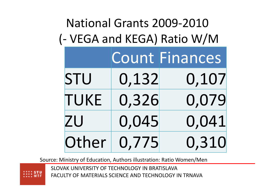| National Grants 2009-2010   |                            |                                  |  |
|-----------------------------|----------------------------|----------------------------------|--|
| (- VEGA and KEGA) Ratio W/M |                            |                                  |  |
|                             |                            | <b>Count Finances</b>            |  |
|                             |                            | 0,107                            |  |
|                             |                            | 0,079                            |  |
|                             |                            | 0,041                            |  |
|                             |                            | 0,310                            |  |
|                             | STU<br>TUKE<br>ZU<br>Other | 0,132<br>0,326<br>0,045<br>0,775 |  |

Source: Ministry of Education, Authors illustration: Ratio Women/Men

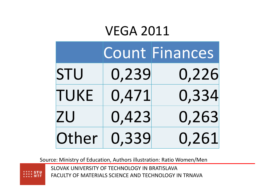### VEGA 2011

|             |       | <b>Count Finances</b> |
|-------------|-------|-----------------------|
| STU         | 0,239 | 0,226                 |
| <b>TUKE</b> | 0,471 | 0,334                 |
| ZU          | 0,423 | 0,263                 |
| Other       | 0,339 | 0,261                 |

Source: Ministry of Education, Authors illustration: Ratio Women/Men

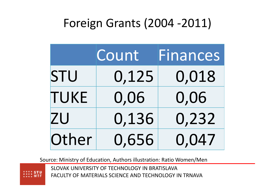## Foreign Grants (2004 -2011)



Source: Ministry of Education, Authors illustration: Ratio Women/Men

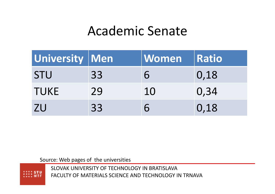## Academic Senate

| University Men |    | $\sf I$ Women | <b>Ratio</b> |
|----------------|----|---------------|--------------|
| <b>STU</b>     | 33 | 6             | 0,18         |
| <b>TUKE</b>    | 29 | 10            | 0,34         |
| <b>ZU</b>      | 33 | 6             | 0,18         |

Source: Web pages of the universities

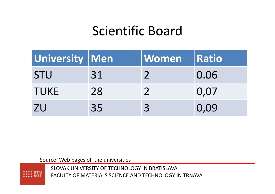## Scientific Board

| University   Men |    | <b>Women</b> | Ratio |
|------------------|----|--------------|-------|
| <b>STU</b>       | 31 |              | 0.06  |
| <b>TUKE</b>      | 28 |              | 0,07  |
| <b>ZU</b>        | 35 | 3            | 0,09  |

Source: Web pages of the universities

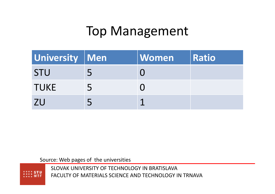## Top Management

| University   Men |             | <b>Women</b> | Ratio |
|------------------|-------------|--------------|-------|
| <b>STU</b>       |             |              |       |
| <b>TUKE</b>      | $\mathbf b$ |              |       |
| <b>7U</b>        |             |              |       |

Source: Web pages of the universities

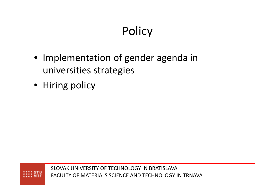## **Policy**

- Implementation of gender agenda in universities strategies
- Hiring policy

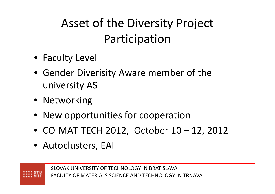## Asset of the Diversity Project Participation

- Faculty Level
- Gender Diverisity Aware member of the university AS
- Networking
- New opportunities for cooperation
- CO-MAT-TECH 2012, October 10 12, 2012
- Autoclusters, EAI